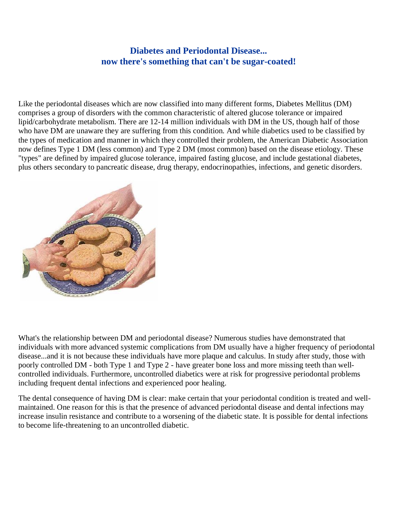## **Diabetes and Periodontal Disease... now there's something that can't be sugar-coated!**

Like the periodontal diseases which are now classified into many different forms, Diabetes Mellitus (DM) comprises a group of disorders with the common characteristic of altered glucose tolerance or impaired lipid/carbohydrate metabolism. There are 12-14 million individuals with DM in the US, though half of those who have DM are unaware they are suffering from this condition. And while diabetics used to be classified by the types of medication and manner in which they controlled their problem, the American Diabetic Association now defines Type 1 DM (less common) and Type 2 DM (most common) based on the disease etiology. These "types" are defined by impaired glucose tolerance, impaired fasting glucose, and include gestational diabetes, plus others secondary to pancreatic disease, drug therapy, endocrinopathies, infections, and genetic disorders.



What's the relationship between DM and periodontal disease? Numerous studies have demonstrated that individuals with more advanced systemic complications from DM usually have a higher frequency of periodontal disease...and it is not because these individuals have more plaque and calculus. In study after study, those with poorly controlled DM - both Type 1 and Type 2 - have greater bone loss and more missing teeth than wellcontrolled individuals. Furthermore, uncontrolled diabetics were at risk for progressive periodontal problems including frequent dental infections and experienced poor healing.

The dental consequence of having DM is clear: make certain that your periodontal condition is treated and wellmaintained. One reason for this is that the presence of advanced periodontal disease and dental infections may increase insulin resistance and contribute to a worsening of the diabetic state. It is possible for dental infections to become life-threatening to an uncontrolled diabetic.